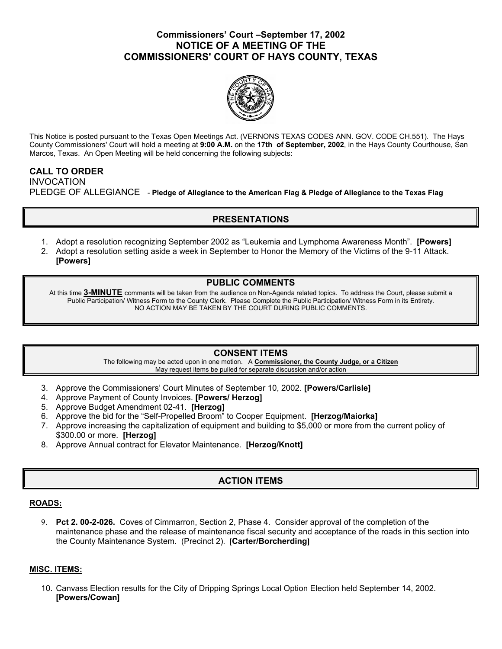### **Commissioners' Court –September 17, 2002 NOTICE OF A MEETING OF THE COMMISSIONERS' COURT OF HAYS COUNTY, TEXAS**



This Notice is posted pursuant to the Texas Open Meetings Act. (VERNONS TEXAS CODES ANN. GOV. CODE CH.551). The Hays County Commissioners' Court will hold a meeting at **9:00 A.M.** on the **17th of September, 2002**, in the Hays County Courthouse, San Marcos, Texas. An Open Meeting will be held concerning the following subjects:

# **CALL TO ORDER**  INVOCATION PLEDGE OF ALLEGIANCE - **Pledge of Allegiance to the American Flag & Pledge of Allegiance to the Texas Flag**

# **PRESENTATIONS**

- 1. Adopt a resolution recognizing September 2002 as "Leukemia and Lymphoma Awareness Month". **[Powers]**
- 2. Adopt a resolution setting aside a week in September to Honor the Memory of the Victims of the 9-11 Attack. **[Powers]**

### **PUBLIC COMMENTS**

At this time **3-MINUTE** comments will be taken from the audience on Non-Agenda related topics. To address the Court, please submit a Public Participation/ Witness Form to the County Clerk. Please Complete the Public Participation/ Witness Form in its Entirety. NO ACTION MAY BE TAKEN BY THE COURT DURING PUBLIC COMMENTS.

## **CONSENT ITEMS**

The following may be acted upon in one motion. A **Commissioner, the County Judge, or a Citizen** May request items be pulled for separate discussion and/or action

- 3. Approve the Commissioners' Court Minutes of September 10, 2002. **[Powers/Carlisle]**
- 4. Approve Payment of County Invoices. **[Powers/ Herzog]**
- 5. Approve Budget Amendment 02-41. **[Herzog]**
- 6. Approve the bid for the "Self-Propelled Broom" to Cooper Equipment. **[Herzog/Maiorka]**
- 7. Approve increasing the capitalization of equipment and building to \$5,000 or more from the current policy of \$300.00 or more. **[Herzog]**
- 8. Approve Annual contract for Elevator Maintenance. **[Herzog/Knott]**

## **ACTION ITEMS**

#### **ROADS:**

9. **Pct 2. 00-2-026.** Coves of Cimmarron, Section 2, Phase 4. Consider approval of the completion of the maintenance phase and the release of maintenance fiscal security and acceptance of the roads in this section into the County Maintenance System. (Precinct 2). **[Carter/Borcherding]** 

#### **MISC. ITEMS:**

10. Canvass Election results for the City of Dripping Springs Local Option Election held September 14, 2002. **[Powers/Cowan]**